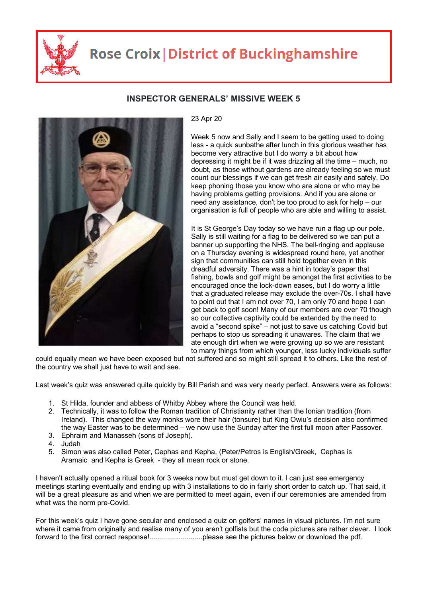

## **Rose Croix | District of Buckinghamshire**



## **INSPECTOR GENERALS' MISSIVE WEEK 5**

## 23 Apr 20

Week 5 now and Sally and I seem to be getting used to doing less - a quick sunbathe after lunch in this glorious weather has become very attractive but I do worry a bit about how depressing it might be if it was drizzling all the time – much, no doubt, as those without gardens are already feeling so we must count our blessings if we can get fresh air easily and safely. Do keep phoning those you know who are alone or who may be having problems getting provisions. And if you are alone or need any assistance, don't be too proud to ask for help – our organisation is full of people who are able and willing to assist.

It is St George's Day today so we have run a flag up our pole. Sally is still waiting for a flag to be delivered so we can put a banner up supporting the NHS. The bell-ringing and applause on a Thursday evening is widespread round here, yet another sign that communities can still hold together even in this dreadful adversity. There was a hint in today's paper that fishing, bowls and golf might be amongst the first activities to be encouraged once the lock-down eases, but I do worry a little that a graduated release may exclude the over-70s. I shall have to point out that I am not over 70, I am only 70 and hope I can get back to golf soon! Many of our members are over 70 though so our collective captivity could be extended by the need to avoid a "second spike" – not just to save us catching Covid but perhaps to stop us spreading it unawares. The claim that we ate enough dirt when we were growing up so we are resistant to many things from which younger, less lucky individuals suffer

could equally mean we have been exposed but not suffered and so might still spread it to others. Like the rest of the country we shall just have to wait and see.

Last week's quiz was answered quite quickly by Bill Parish and was very nearly perfect. Answers were as follows:

- 1. St Hilda, founder and abbess of Whitby Abbey where the Council was held.
- 2. Technically, it was to follow the Roman tradition of Christianity rather than the Ionian tradition (from Ireland). This changed the way monks wore their hair (tonsure) but King Owiu's decision also confirmed the way Easter was to be determined – we now use the Sunday after the first full moon after Passover.
- 3. Ephraim and Manasseh (sons of Joseph).
- 4. Judah
- 5. Simon was also called Peter, Cephas and Kepha, (Peter/Petros is English/Greek, Cephas is Aramaic and Kepha is Greek - they all mean rock or stone.

I haven't actually opened a ritual book for 3 weeks now but must get down to it. I can just see emergency meetings starting eventually and ending up with 3 installations to do in fairly short order to catch up. That said, it will be a great pleasure as and when we are permitted to meet again, even if our ceremonies are amended from what was the norm pre-Covid.

For this week's quiz I have gone secular and enclosed a quiz on golfers' names in visual pictures. I'm not sure where it came from originally and realise many of you aren't golfists but the code pictures are rather clever. I look forward to the first correct response!...........................please see the pictures below or download the pdf.